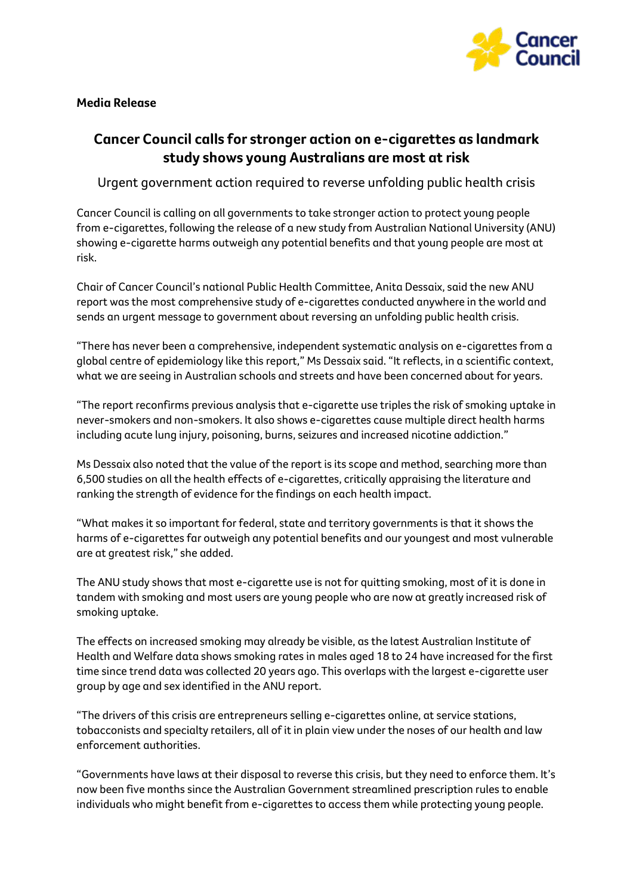

## **Media Release**

## **Cancer Council calls for stronger action on e-cigarettes as landmark study shows young Australians are most at risk**

Urgent government action required to reverse unfolding public health crisis

Cancer Council is calling on all governments to take stronger action to protect young people from e-cigarettes, following the release of a new study from Australian National University (ANU) showing e-cigarette harms outweigh any potential benefits and that young people are most at risk.

Chair of Cancer Council's national Public Health Committee, Anita Dessaix, said the new ANU report was the most comprehensive study of e-cigarettes conducted anywhere in the world and sends an urgent message to government about reversing an unfolding public health crisis.

"There has never been a comprehensive, independent systematic analysis on e-cigarettes from a global centre of epidemiology like this report," Ms Dessaix said. "It reflects, in a scientific context, what we are seeing in Australian schools and streets and have been concerned about for years.

"The report reconfirms previous analysis that e-cigarette use triples the risk of smoking uptake in never-smokers and non-smokers. It also shows e-cigarettes cause multiple direct health harms including acute lung injury, poisoning, burns, seizures and increased nicotine addiction."

Ms Dessaix also noted that the value of the report is its scope and method, searching more than 6,500 studies on all the health effects of e-cigarettes, critically appraising the literature and ranking the strength of evidence for the findings on each health impact.

"What makes it so important for federal, state and territory governments is that it shows the harms of e-cigarettes far outweigh any potential benefits and our youngest and most vulnerable are at greatest risk," she added.

The ANU study shows that most e-cigarette use is not for quitting smoking, most of it is done in tandem with smoking and most users are young people who are now at greatly increased risk of smoking uptake.

The effects on increased smoking may already be visible, as the latest Australian Institute of Health and Welfare data shows smoking rates in males aged 18 to 24 have increased for the first time since trend data was collected 20 years ago. This overlaps with the largest e-cigarette user group by age and sex identified in the ANU report.

"The drivers of this crisis are entrepreneurs selling e-cigarettes online, at service stations, tobacconists and specialty retailers, all of it in plain view under the noses of our health and law enforcement authorities.

"Governments have laws at their disposal to reverse this crisis, but they need to enforce them. It's now been five months since the Australian Government streamlined prescription rules to enable individuals who might benefit from e-cigarettes to access them while protecting young people.